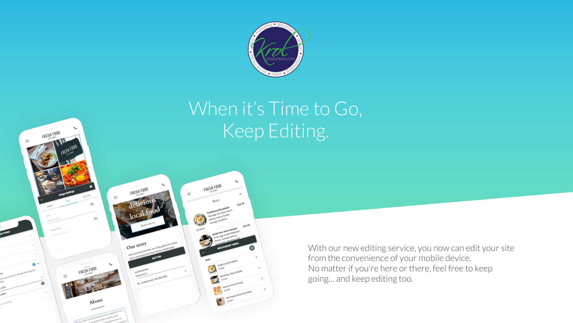

# When it's Time to Go, Keep Editing.



FRESH FOOD

With our new editing service, you now can edit your site from the convenience of your mobile device. No matter if you're here or there, feel free to keep going… and keep editing too.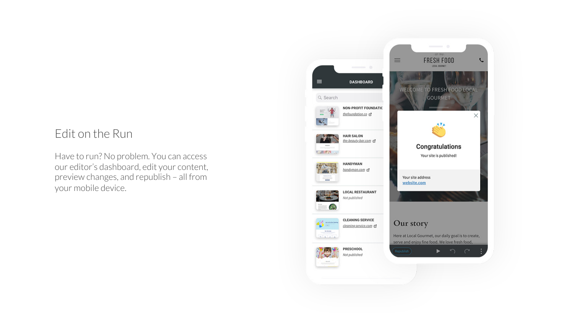### Edit on the Run

Have to run? No problem. You can access our editor's dashboard, edit your content, preview changes, and republish – all from your mobile device.

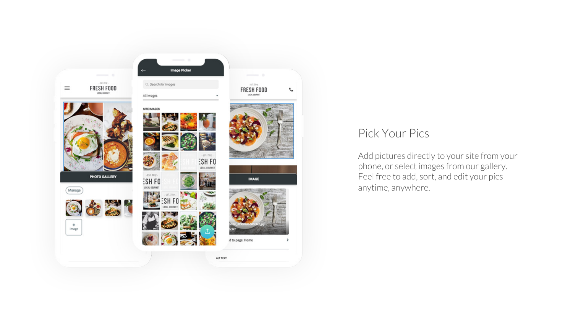

#### Pick Your Pics

Add pictures directly to your site from your phone, or select images from our gallery. Feel free to add, sort, and edit your pics anytime, anywhere.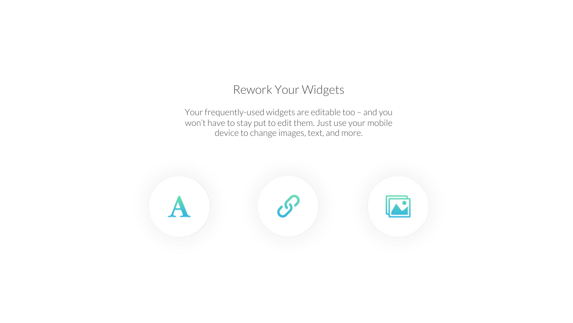### Rework Your Widgets

Your frequently-used widgets are editable too – and you won't have to stay put to edit them. Just use your mobile device to change images, text, and more.

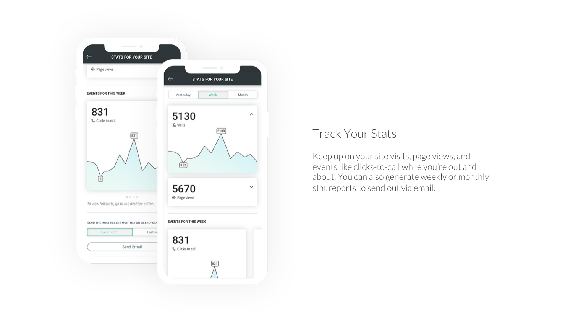

## Track Your Stats

Keep up on your site visits, page views, and events like clicks-to-call while you're out and about. You can also generate weekly or monthly stat reports to send out via email.